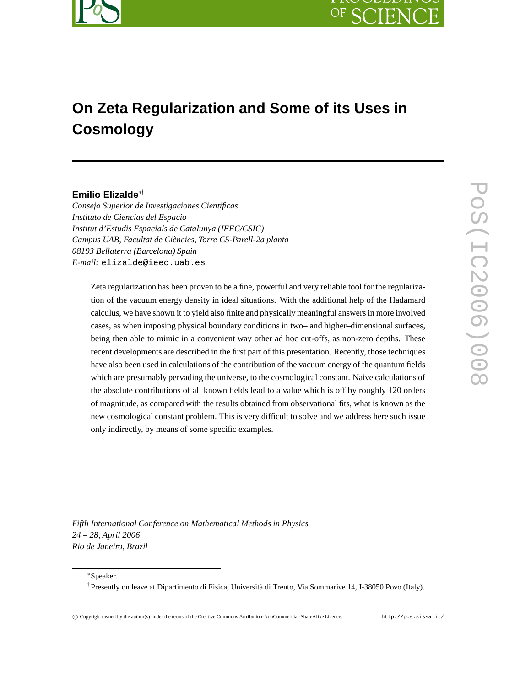

# **On Zeta Regularization and Some of its Uses in Cosmology**

## **Emilio Elizalde**∗†

*Consejo Superior de Investigaciones Científicas Instituto de Ciencias del Espacio Institut d'Estudis Espacials de Catalunya (IEEC/CSIC) Campus UAB, Facultat de Ciències, Torre C5-Parell-2a planta 08193 Bellaterra (Barcelona) Spain E-mail:* elizalde@ieec.uab.es

Zeta regularization has been proven to be a fine, powerful and very reliable tool for the regularization of the vacuum energy density in ideal situations. With the additional help of the Hadamard calculus, we have shown it to yield also finite and physically meaningful answers in more involved cases, as when imposing physical boundary conditions in two– and higher–dimensional surfaces, being then able to mimic in a convenient way other ad hoc cut-offs, as non-zero depths. These recent developments are described in the first part of this presentation. Recently, those techniques have also been used in calculations of the contribution of the vacuum energy of the quantum fields which are presumably pervading the universe, to the cosmological constant. Naive calculations of the absolute contributions of all known fields lead to a value which is off by roughly 120 orders of magnitude, as compared with the results obtained from observational fits, what is known as the new cosmological constant problem. This is very difficult to solve and we address here such issue only indirectly, by means of some specific examples.

*Fifth International Conference on Mathematical Methods in Physics 24 – 28, April 2006 Rio de Janeiro, Brazil*

∗Speaker.

<sup>†</sup>Presently on leave at Dipartimento di Fisica, Università di Trento, Via Sommarive 14, I-38050 Povo (Italy).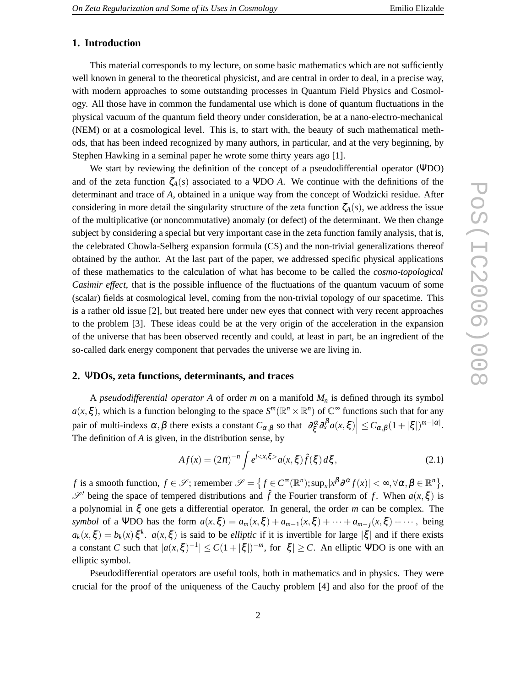# **1. Introduction**

This material corresponds to my lecture, on some basic mathematics which are not sufficiently well known in general to the theoretical physicist, and are central in order to deal, in a precise way, with modern approaches to some outstanding processes in Quantum Field Physics and Cosmology. All those have in common the fundamental use which is done of quantum fluctuations in the physical vacuum of the quantum field theory under consideration, be at a nano-electro-mechanical (NEM) or at a cosmological level. This is, to start with, the beauty of such mathematical methods, that has been indeed recognized by many authors, in particular, and at the very beginning, by Stephen Hawking in a seminal paper he wrote some thirty years ago [1].

We start by reviewing the definition of the concept of a pseudodifferential operator (ΨDO) and of the zeta function  $\zeta_A(s)$  associated to a ΨDO *A*. We continue with the definitions of the determinant and trace of *A*, obtained in a unique way from the concept of Wodzicki residue. After considering in more detail the singularity structure of the zeta function  $\zeta_A(s)$ , we address the issue of the multiplicative (or noncommutative) anomaly (or defect) of the determinant. We then change subject by considering a special but very important case in the zeta function family analysis, that is, the celebrated Chowla-Selberg expansion formula (CS) and the non-trivial generalizations thereof obtained by the author. At the last part of the paper, we addressed specific physical applications of these mathematics to the calculation of what has become to be called the *cosmo-topological Casimir effect*, that is the possible influence of the fluctuations of the quantum vacuum of some (scalar) fields at cosmological level, coming from the non-trivial topology of our spacetime. This is a rather old issue [2], but treated here under new eyes that connect with very recent approaches to the problem [3]. These ideas could be at the very origin of the acceleration in the expansion of the universe that has been observed recently and could, at least in part, be an ingredient of the so-called dark energy component that pervades the universe we are living in.

## **2.** Ψ**DOs, zeta functions, determinants, and traces**

A *pseudodifferential operator A* of order *m* on a manifold *M<sup>n</sup>* is defined through its symbol  $a(x,\xi)$ , which is a function belonging to the space  $S^m(\mathbb{R}^n \times \mathbb{R}^n)$  of  $\mathbb{C}^\infty$  functions such that for any pair of multi-indexs  $\alpha, \beta$  there exists a constant  $C_{\alpha,\beta}$  so that  $\Big|$ <br>The definition of A is given in the distribution conservative  $\left| \partial_{\xi}^{\alpha} \partial_{x}^{\beta} a(x,\xi) \right| \leq C_{\alpha,\beta} (1+|\xi|)^{m-|\alpha|}.$ The definition of *A* is given, in the distribution sense, by

$$
Af(x) = (2\pi)^{-n} \int e^{i < x, \xi > a(x, \xi) \hat{f}(\xi) \, d\xi,\tag{2.1}
$$

*f* is a smooth function,  $f \in \mathcal{S}$ ; remember  $\mathcal{S} = \{f \in C^{\infty}(\mathbb{R}^n)$ ; sup<sub>x</sub> $|x^{\beta} \partial^{\alpha} f(x)| < \infty, \forall \alpha, \beta \in \mathbb{R}^n\}$ ,  $\mathscr{S}'$  being the space of tempered distributions and  $\hat{f}$  the Fourier transform of f. When  $a(x,\xi)$  is a polynomial in ξ one gets a differential operator. In general, the order *m* can be complex. The *symbol* of a ΨDO has the form  $a(x,\xi) = a_m(x,\xi) + a_{m-1}(x,\xi) + \cdots + a_{m-1}(x,\xi) + \cdots$ , being  $a_k(x,\xi) = b_k(x)\xi^k$ .  $a(x,\xi)$  is said to be *elliptic* if it is invertible for large  $|\xi|$  and if there exists a constant *C* such that  $|a(x,\xi)^{-1}| \leq C(1+|\xi|)^{-m}$ , for  $|\xi| \geq C$ . An elliptic ΨDO is one with an elliptic symbol.

Pseudodifferential operators are useful tools, both in mathematics and in physics. They were crucial for the proof of the uniqueness of the Cauchy problem [4] and also for the proof of the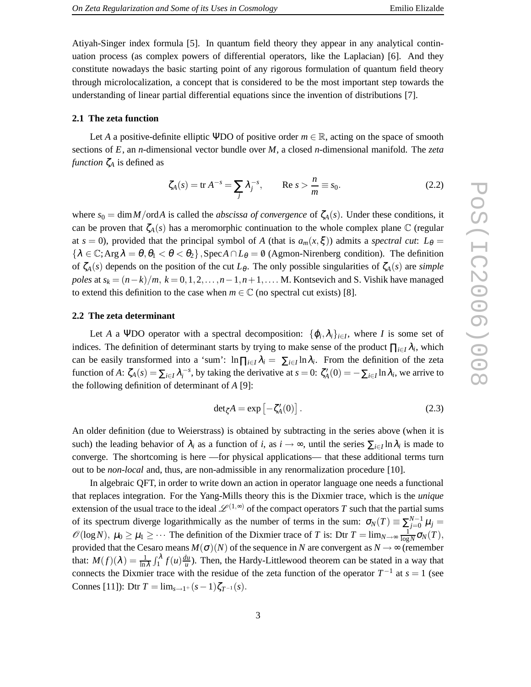#### **2.1 The zeta function**

Let *A* a positive-definite elliptic ΨDO of positive order  $m \in \mathbb{R}$ , acting on the space of smooth sections of *E*, an *n*-dimensional vector bundle over *M*, a closed *n*-dimensional manifold. The *zeta function* ζ*<sup>A</sup>* is defined as

$$
\zeta_A(s) = \text{tr } A^{-s} = \sum_j \lambda_j^{-s}, \qquad \text{Re } s > \frac{n}{m} \equiv s_0. \tag{2.2}
$$

where  $s_0 = \dim M / \text{ord}A$  is called the *abscissa of convergence* of  $\zeta_A(s)$ . Under these conditions, it can be proven that  $\zeta_A(s)$  has a meromorphic continuation to the whole complex plane  $\mathbb C$  (regular at  $s = 0$ ), provided that the principal symbol of *A* (that is  $a_m(x, \xi)$ ) admits a *spectral cut*:  $L_{\theta} =$  $\{\lambda \in \mathbb{C}; \text{Arg }\lambda = \theta, \theta_1 < \theta < \theta_2\}, \text{Spec } A \cap L_\theta = \emptyset$  (Agmon-Nirenberg condition). The definition of  $\zeta_A(s)$  depends on the position of the cut  $L_\theta$ . The only possible singularities of  $\zeta_A(s)$  are *simple poles* at  $s_k = (n-k)/m$ ,  $k = 0, 1, 2, ..., n-1, n+1, ...$  M. Kontsevich and S. Vishik have managed to extend this definition to the case when  $m \in \mathbb{C}$  (no spectral cut exists) [8].

#### **2.2 The zeta determinant**

Let *A* a ΨDO operator with a spectral decomposition:  $\{\varphi_i, \lambda_i\}_{i \in I}$ , where *I* is some set of indices. The definition of determinant starts by trying to make sense of the product  $\prod_{i\in I} \lambda_i$ , which can be easily transformed into a 'sum':  $\ln \prod_{i \in I} \lambda_i = \sum_{i \in I} \ln \lambda_i$ . From the definition of the zeta function of *A*:  $\zeta_A(s) = \sum_{i \in I} \lambda_i^{-s}$ , by taking the derivative at  $s = 0$ :  $\zeta'_A(0) = -\sum_{i \in I} \ln \lambda_i$ , we arrive to the following definition of determinant of *A* [9]:

$$
\det_{\zeta} A = \exp\left[-\zeta'_A(0)\right].\tag{2.3}
$$

An older definition (due to Weierstrass) is obtained by subtracting in the series above (when it is such) the leading behavior of  $\lambda_i$  as a function of *i*, as  $i \to \infty$ , until the series  $\sum_{i \in I} \ln \lambda_i$  is made to converge. The shortcoming is here —for physical applications— that these additional terms turn out to be *non-local* and, thus, are non-admissible in any renormalization procedure [10].

In algebraic QFT, in order to write down an action in operator language one needs a functional that replaces integration. For the Yang-Mills theory this is the Dixmier trace, which is the *unique* extension of the usual trace to the ideal  $\mathscr{L}^{(1,\infty)}$  of the compact operators *T* such that the partial sums of its spectrum diverge logarithmically as the number of terms in the sum:  $\sigma_N(T) \equiv \sum_{j=0}^{N-1} \mu_j$  $\mathcal{O}(\log N)$ ,  $\mu_0 \ge \mu_1 \ge \cdots$  The definition of the Dixmier trace of *T* is: Dtr  $T = \lim_{N \to \infty} \frac{1}{\log N}$ log*N* <sup>σ</sup>*N*(*T*), provided that the Cesaro means  $M(\sigma)(N)$  of the sequence in *N* are convergent as  $N \to \infty$  (remember that:  $M(f)(\lambda) = \frac{1}{\ln \lambda} \int_1^{\lambda} f(u) \frac{du}{u}$  $\frac{du}{u}$ ). Then, the Hardy-Littlewood theorem can be stated in a way that connects the Dixmier trace with the residue of the zeta function of the operator  $T^{-1}$  at  $s = 1$  (see Connes [11]): Dtr  $T = \lim_{s \to 1^+} (s-1) \zeta_{T^{-1}}(s)$ .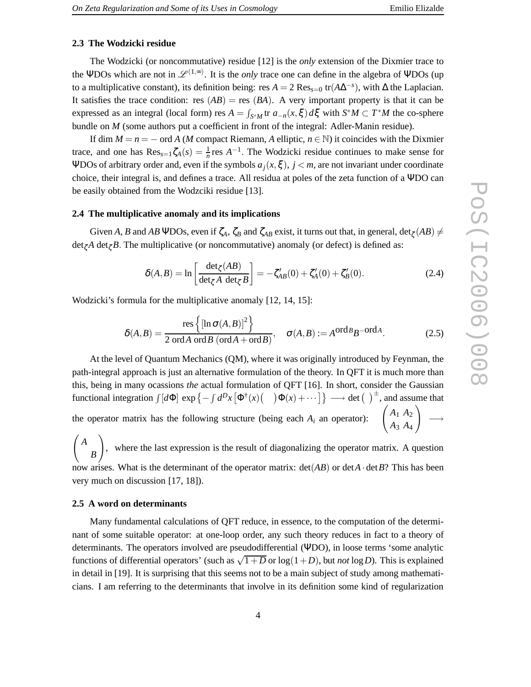#### **2.3 The Wodzicki residue**

The Wodzicki (or noncommutative) residue [12] is the *only* extension of the Dixmier trace to the ΨDOs which are not in  $\mathcal{L}^{(1,\infty)}$ . It is the *only* trace one can define in the algebra of ΨDOs (up to a multiplicative constant), its definition being: res  $A = 2 \text{ Res}_{s=0} \text{ tr}(A\Delta^{-s})$ , with  $\Delta$  the Laplacian. It satisfies the trace condition: res  $(AB)$  = res  $(BA)$ . A very important property is that it can be expressed as an integral (local form) res  $A = \int_{S^*M} tr \ a_{-n}(x, \xi) d\xi$  with  $S^*M \subset T^*M$  the co-sphere bundle on *M* (some authors put a coefficient in front of the integral: Adler-Manin residue).

If dim  $M = n = -$  ord *A* (*M* compact Riemann, *A* elliptic,  $n \in \mathbb{N}$ ) it coincides with the Dixmier trace, and one has  $\text{Res}_{s=1} \zeta_A(s) = \frac{1}{n}$  res  $A^{-1}$ . The Wodzicki residue continues to make sense for ΨDOs of arbitrary order and, even if the symbols  $a_j(x, \xi)$ ,  $j < m$ , are not invariant under coordinate choice, their integral is, and defines a trace. All residua at poles of the zeta function of a ΨDO can be easily obtained from the Wodzciki residue [13].

#### **2.4 The multiplicative anomaly and its implications**

Given *A*, *B* and *AB* ΨDOs, even if  $\zeta_A$ ,  $\zeta_B$  and  $\zeta_{AB}$  exist, it turns out that, in general,  $\det_\zeta(AB) \neq$  $\det_{\zeta} A \det_{\zeta} B$ . The multiplicative (or noncommutative) anomaly (or defect) is defined as:

$$
\delta(A,B) = \ln\left[\frac{\det_{\zeta}(AB)}{\det_{\zeta}A \det_{\zeta}B}\right] = -\zeta'_{AB}(0) + \zeta'_{A}(0) + \zeta'_{B}(0). \tag{2.4}
$$

Wodzicki's formula for the multiplicative anomaly [12, 14, 15]:

$$
\delta(A,B) = \frac{\text{res}\left\{ \left[ \ln \sigma(A,B) \right]^2 \right\}}{2 \text{ ord }A \text{ ord }B \text{ (ord }A + \text{ord }B)}, \quad \sigma(A,B) := A^{\text{ord }B}B^{-\text{ord }A}.
$$
 (2.5)

At the level of Quantum Mechanics (QM), where it was originally introduced by Feynman, the path-integral approach is just an alternative formulation of the theory. In QFT it is much more than this, being in many ocassions *the* actual formulation of QFT [16]. In short, consider the Gaussian functional integration  $\int [d\Phi] \exp \{- \int d^D x [\Phi^{\dagger}(x) (\ ) \Phi(x) + \cdots ] \} \longrightarrow \det (\ )^{\pm}$ , and assume that the operator matrix has the following structure (being each  $A_i$  an operator):  $\begin{pmatrix} A_1 & A_2 \\ A_1 & A_2 \end{pmatrix}$ *A*<sup>3</sup> *A*<sup>4</sup>  $\setminus$ −→ *A*  $\setminus$ 

*B* , where the last expression is the result of diagonalizing the operator matrix. A question now arises. What is the determinant of the operator matrix:  $det(AB)$  or  $detA \cdot detB$ ? This has been very much on discussion [17, 18]).

#### **2.5 A word on determinants**

Many fundamental calculations of QFT reduce, in essence, to the computation of the determinant of some suitable operator: at one-loop order, any such theory reduces in fact to a theory of determinants. The operators involved are pseudodifferential (ΨDO), in loose terms 'some analytic functions of differential operators' (such as  $\sqrt{1+D}$  or  $\log(1+D)$ , but *not*  $\log D$ ). This is explained in detail in [19]. It is surprising that this seems not to be a main subject of study among mathematicians. I am referring to the determinants that involve in its definition some kind of regularization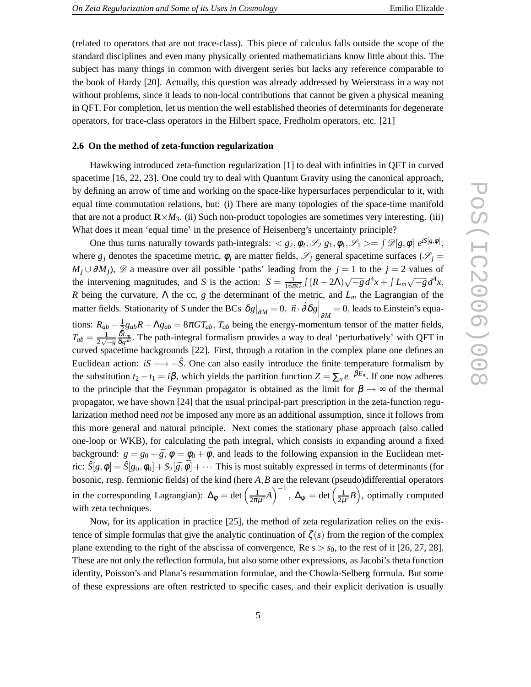(related to operators that are not trace-class). This piece of calculus falls outside the scope of the standard disciplines and even many physically oriented mathematicians know little about this. The subject has many things in common with divergent series but lacks any reference comparable to the book of Hardy [20]. Actually, this question was already addressed by Weierstrass in a way not without problems, since it leads to non-local contributions that cannot be given a physical meaning in QFT. For completion, let us mention the well established theories of determinants for degenerate operators, for trace-class operators in the Hilbert space, Fredholm operators, etc. [21]

## **2.6 On the method of zeta-function regularization**

Hawkwing introduced zeta-function regularization [1] to deal with infinities in QFT in curved spacetime [16, 22, 23]. One could try to deal with Quantum Gravity using the canonical approach, by defining an arrow of time and working on the space-like hypersurfaces perpendicular to it, with equal time commutation relations, but: (i) There are many topologies of the space-time manifold that are not a product  $\mathbb{R} \times M_3$ . (ii) Such non-product topologies are sometimes very interesting. (iii) What does it mean 'equal time' in the presence of Heisenberg's uncertainty principle?

One thus turns naturally towards path-integrals:  $\langle g_2, \phi_2, \mathcal{S}_2 | g_1, \phi_1, \mathcal{S}_1 \rangle = \int \mathcal{D}[g, \phi] e^{iS[g, \phi]},$ where  $g_j$  denotes the spacetime metric,  $\phi_j$  are matter fields,  $\mathscr{S}_j$  general spacetime surfaces ( $\mathscr{S}_j$  = *M*<sub>j</sub> ∪ ∂*M*<sub>j</sub>),  $\mathscr D$  a measure over all possible 'paths' leading from the *j* = 1 to the *j* = 2 values of the intervening magnitudes, and *S* is the action:  $S = \frac{1}{16\pi G} \int (R - 2\Lambda) \sqrt{-g} d^4x + \int L_m \sqrt{-g} d^4x$ , *R* being the curvature, Λ the cc, *g* the determinant of the metric, and *L<sup>m</sup>* the Lagrangian of the matter fields. Stationarity of *S* under the BCs  $\delta g|_{\partial M} = 0$ ,  $\vec{n} \cdot \vec{\partial} \delta g|_{\partial M} = 0$ , leads to Einstein's equations:  $R_{ab} - \frac{1}{2}g_{ab}R + \Lambda g_{ab} = 8\pi G T_{ab}$ ,  $T_{ab}$  being the energy-momentum tensor of the matter fields,  $T_{ab} = \frac{1}{2}$  $\frac{1}{2\sqrt{-g}}$ <sup>δ</sup>*L<sup>m</sup>*  $\frac{\partial L_m}{\partial g^{ab}}$ . The path-integral formalism provides a way to deal 'perturbatively' with QFT in curved spacetime backgrounds [22]. First, through a rotation in the complex plane one defines an Euclidean action: *iS*  $\longrightarrow -\hat{S}$ . One can also easily introduce the finite temperature formalism by the substitution  $t_2 - t_1 = i\beta$ , which yields the partition function  $Z = \sum_n e^{-\beta E_n}$ . If one now adheres to the principle that the Feynman propagator is obtained as the limit for  $\beta \rightarrow \infty$  of the thermal propagator, we have shown [24] that the usual principal-part prescription in the zeta-function regularization method need *not* be imposed any more as an additional assumption, since it follows from this more general and natural principle. Next comes the stationary phase approach (also called one-loop or WKB), for calculating the path integral, which consists in expanding around a fixed background:  $g = g_0 + \bar{g}$ ,  $\phi = \phi_0 + \bar{\phi}$ , and leads to the following expansion in the Euclidean metric:  $\hat{S}[g,\phi] = \hat{S}[g_0,\phi_0] + S_2[\bar{g},\bar{\phi}] + \cdots$  This is most suitably expressed in terms of determinants (for bosonic, resp. fermionic fields) of the kind (here *A*,*B* are the relevant (pseudo)differential operators in the corresponding Lagrangian):  $\Delta_{\phi} = \det \left( \frac{1}{2\pi\mu^2} A \right)^{-1}$ ,  $\Delta_{\psi} = \det \left( \frac{1}{2\mu^2} B \right)$ , optimally computed with zeta techniques.

Now, for its application in practice [25], the method of zeta regularization relies on the existence of simple formulas that give the analytic continuation of  $\zeta(s)$  from the region of the complex plane extending to the right of the abscissa of convergence, Re  $s > s_0$ , to the rest of it [26, 27, 28]. These are not only the reflection formula, but also some other expressions, as Jacobi's theta function identity, Poisson's and Plana's resummation formulae, and the Chowla-Selberg formula. But some of these expressions are often restricted to specific cases, and their explicit derivation is usually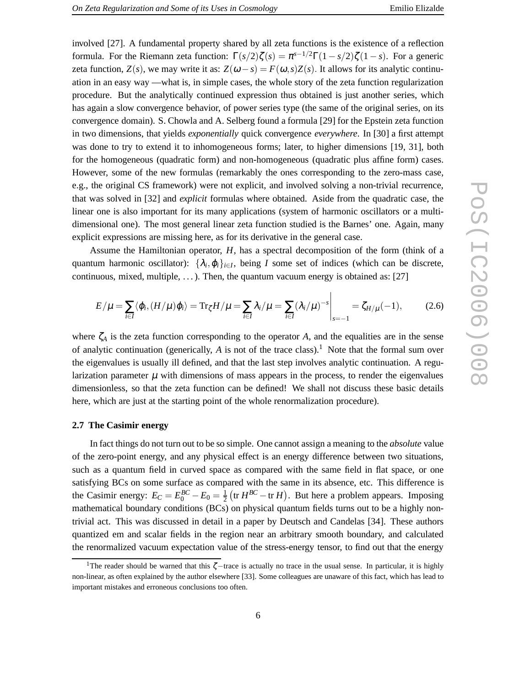formula. For the Riemann zeta function:  $\Gamma(s/2)\zeta(s) = \pi^{s-1/2}\Gamma(1-s/2)\zeta(1-s)$ . For a generic zeta function,  $Z(s)$ , we may write it as:  $Z(\omega - s) = F(\omega, s)Z(s)$ . It allows for its analytic continuation in an easy way —what is, in simple cases, the whole story of the zeta function regularization procedure. But the analytically continued expression thus obtained is just another series, which has again a slow convergence behavior, of power series type (the same of the original series, on its convergence domain). S. Chowla and A. Selberg found a formula [29] for the Epstein zeta function in two dimensions, that yields *exponentially* quick convergence *everywhere*. In [30] a first attempt was done to try to extend it to inhomogeneous forms; later, to higher dimensions [19, 31], both for the homogeneous (quadratic form) and non-homogeneous (quadratic plus affine form) cases. However, some of the new formulas (remarkably the ones corresponding to the zero-mass case, e.g., the original CS framework) were not explicit, and involved solving a non-trivial recurrence, that was solved in [32] and *explicit* formulas where obtained. Aside from the quadratic case, the linear one is also important for its many applications (system of harmonic oscillators or a multidimensional one). The most general linear zeta function studied is the Barnes' one. Again, many explicit expressions are missing here, as for its derivative in the general case.

Assume the Hamiltonian operator, *H*, has a spectral decomposition of the form (think of a quantum harmonic oscillator):  $\{\lambda_i, \varphi_i\}_{i \in I}$ , being *I* some set of indices (which can be discrete, continuous, mixed, multiple, ...). Then, the quantum vacuum energy is obtained as:  $[27]$ 

$$
E/\mu = \sum_{i \in I} \langle \varphi_i, (H/\mu)\varphi_i \rangle = \text{Tr}_{\zeta} H/\mu = \sum_{i \in I} \lambda_i/\mu = \sum_{i \in I} (\lambda_i/\mu)^{-s} \bigg|_{s=-1} = \zeta_{H/\mu}(-1), \quad (2.6)
$$

where  $\zeta_A$  is the zeta function corresponding to the operator *A*, and the equalities are in the sense of analytic continuation (generically,  $A$  is not of the trace class).<sup>1</sup> Note that the formal sum over the eigenvalues is usually ill defined, and that the last step involves analytic continuation. A regularization parameter  $\mu$  with dimensions of mass appears in the process, to render the eigenvalues dimensionless, so that the zeta function can be defined! We shall not discuss these basic details here, which are just at the starting point of the whole renormalization procedure).

#### **2.7 The Casimir energy**

In fact things do not turn out to be so simple. One cannot assign a meaning to the *absolute* value of the zero-point energy, and any physical effect is an energy difference between two situations, such as a quantum field in curved space as compared with the same field in flat space, or one satisfying BCs on some surface as compared with the same in its absence, etc. This difference is the Casimir energy:  $E_C = E_0^{BC} - E_0 = \frac{1}{2}$  $\frac{1}{2}$  (tr  $H^{BC}$  – tr *H*). But here a problem appears. Imposing mathematical boundary conditions (BCs) on physical quantum fields turns out to be a highly nontrivial act. This was discussed in detail in a paper by Deutsch and Candelas [34]. These authors quantized em and scalar fields in the region near an arbitrary smooth boundary, and calculated the renormalized vacuum expectation value of the stress-energy tensor, to find out that the energy

<sup>&</sup>lt;sup>1</sup>The reader should be warned that this  $\zeta$ −trace is actually no trace in the usual sense. In particular, it is highly non-linear, as often explained by the author elsewhere [33]. Some colleagues are unaware of this fact, which has lead to important mistakes and erroneous conclusions too often.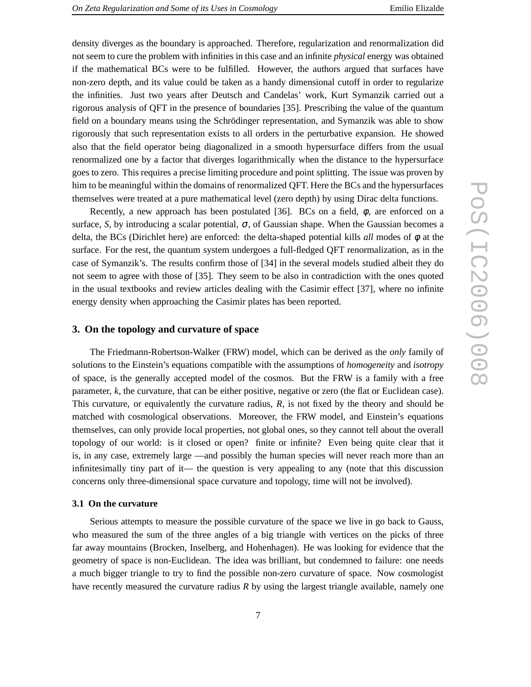density diverges as the boundary is approached. Therefore, regularization and renormalization did not seem to cure the problem with infinities in this case and an infinite *physical* energy was obtained if the mathematical BCs were to be fulfilled. However, the authors argued that surfaces have non-zero depth, and its value could be taken as a handy dimensional cutoff in order to regularize the infinities. Just two years after Deutsch and Candelas' work, Kurt Symanzik carried out a rigorous analysis of QFT in the presence of boundaries [35]. Prescribing the value of the quantum field on a boundary means using the Schrödinger representation, and Symanzik was able to show rigorously that such representation exists to all orders in the perturbative expansion. He showed also that the field operator being diagonalized in a smooth hypersurface differs from the usual renormalized one by a factor that diverges logarithmically when the distance to the hypersurface goes to zero. This requires a precise limiting procedure and point splitting. The issue was proven by him to be meaningful within the domains of renormalized QFT. Here the BCs and the hypersurfaces themselves were treated at a pure mathematical level (zero depth) by using Dirac delta functions.

Recently, a new approach has been postulated [36]. BCs on a field,  $\phi$ , are enforced on a surface, *S*, by introducing a scalar potential,  $\sigma$ , of Gaussian shape. When the Gaussian becomes a delta, the BCs (Dirichlet here) are enforced: the delta-shaped potential kills *all* modes of φ at the surface. For the rest, the quantum system undergoes a full-fledged QFT renormalization, as in the case of Symanzik's. The results confirm those of [34] in the several models studied albeit they do not seem to agree with those of [35]. They seem to be also in contradiction with the ones quoted in the usual textbooks and review articles dealing with the Casimir effect [37], where no infinite energy density when approaching the Casimir plates has been reported.

## **3. On the topology and curvature of space**

The Friedmann-Robertson-Walker (FRW) model, which can be derived as the *only* family of solutions to the Einstein's equations compatible with the assumptions of *homogeneity* and *isotropy* of space, is the generally accepted model of the cosmos. But the FRW is a family with a free parameter, *k*, the curvature, that can be either positive, negative or zero (the flat or Euclidean case). This curvature, or equivalently the curvature radius, *R*, is not fixed by the theory and should be matched with cosmological observations. Moreover, the FRW model, and Einstein's equations themselves, can only provide local properties, not global ones, so they cannot tell about the overall topology of our world: is it closed or open? finite or infinite? Even being quite clear that it is, in any case, extremely large —and possibly the human species will never reach more than an infinitesimally tiny part of it— the question is very appealing to any (note that this discussion concerns only three-dimensional space curvature and topology, time will not be involved).

## **3.1 On the curvature**

Serious attempts to measure the possible curvature of the space we live in go back to Gauss, who measured the sum of the three angles of a big triangle with vertices on the picks of three far away mountains (Brocken, Inselberg, and Hohenhagen). He was looking for evidence that the geometry of space is non-Euclidean. The idea was brilliant, but condemned to failure: one needs a much bigger triangle to try to find the possible non-zero curvature of space. Now cosmologist have recently measured the curvature radius *R* by using the largest triangle available, namely one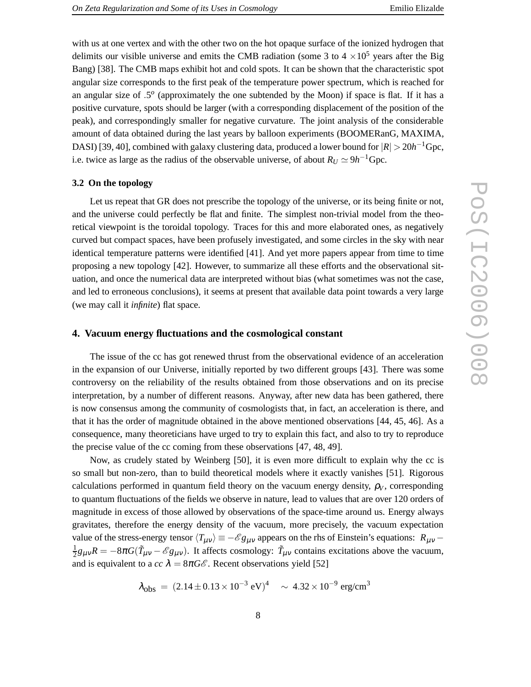with us at one vertex and with the other two on the hot opaque surface of the ionized hydrogen that delimits our visible universe and emits the CMB radiation (some 3 to  $4 \times 10^5$  years after the Big Bang) [38]. The CMB maps exhibit hot and cold spots. It can be shown that the characteristic spot angular size corresponds to the first peak of the temperature power spectrum, which is reached for an angular size of .5<sup>o</sup> (approximately the one subtended by the Moon) if space is flat. If it has a positive curvature, spots should be larger (with a corresponding displacement of the position of the peak), and correspondingly smaller for negative curvature. The joint analysis of the considerable amount of data obtained during the last years by balloon experiments (BOOMERanG, MAXIMA, DASI) [39, 40], combined with galaxy clustering data, produced a lower bound for  $|R| > 20h^{-1}$ Gpc, i.e. twice as large as the radius of the observable universe, of about  $R_U \simeq 9h^{-1}$  Gpc.

## **3.2 On the topology**

Let us repeat that GR does not prescribe the topology of the universe, or its being finite or not, and the universe could perfectly be flat and finite. The simplest non-trivial model from the theoretical viewpoint is the toroidal topology. Traces for this and more elaborated ones, as negatively curved but compact spaces, have been profusely investigated, and some circles in the sky with near identical temperature patterns were identified [41]. And yet more papers appear from time to time proposing a new topology [42]. However, to summarize all these efforts and the observational situation, and once the numerical data are interpreted without bias (what sometimes was not the case, and led to erroneous conclusions), it seems at present that available data point towards a very large (we may call it *infinite*) flat space.

## **4. Vacuum energy fluctuations and the cosmological constant**

The issue of the cc has got renewed thrust from the observational evidence of an acceleration in the expansion of our Universe, initially reported by two different groups [43]. There was some controversy on the reliability of the results obtained from those observations and on its precise interpretation, by a number of different reasons. Anyway, after new data has been gathered, there is now consensus among the community of cosmologists that, in fact, an acceleration is there, and that it has the order of magnitude obtained in the above mentioned observations [44, 45, 46]. As a consequence, many theoreticians have urged to try to explain this fact, and also to try to reproduce the precise value of the cc coming from these observations [47, 48, 49].

Now, as crudely stated by Weinberg [50], it is even more difficult to explain why the cc is so small but non-zero, than to build theoretical models where it exactly vanishes [51]. Rigorous calculations performed in quantum field theory on the vacuum energy density,  $\rho_V$ , corresponding to quantum fluctuations of the fields we observe in nature, lead to values that are over 120 orders of magnitude in excess of those allowed by observations of the space-time around us. Energy always gravitates, therefore the energy density of the vacuum, more precisely, the vacuum expectation value of the stress-energy tensor  $\langle T_{\mu\nu} \rangle \equiv -\mathcal{E} g_{\mu\nu}$  appears on the rhs of Einstein's equations:  $R_{\mu\nu}$  − 1  $\frac{1}{2}g_{\mu\nu}R = -8\pi G(\tilde{T}_{\mu\nu} - \mathcal{E}g_{\mu\nu})$ . It affects cosmology:  $\tilde{T}_{\mu\nu}$  contains excitations above the vacuum, and is equivalent to a  $cc \lambda = 8\pi G\mathscr{E}$ . Recent observations yield [52]

$$
\lambda_{\text{obs}} = (2.14 \pm 0.13 \times 10^{-3} \text{ eV})^4 \sim 4.32 \times 10^{-9} \text{ erg/cm}^3
$$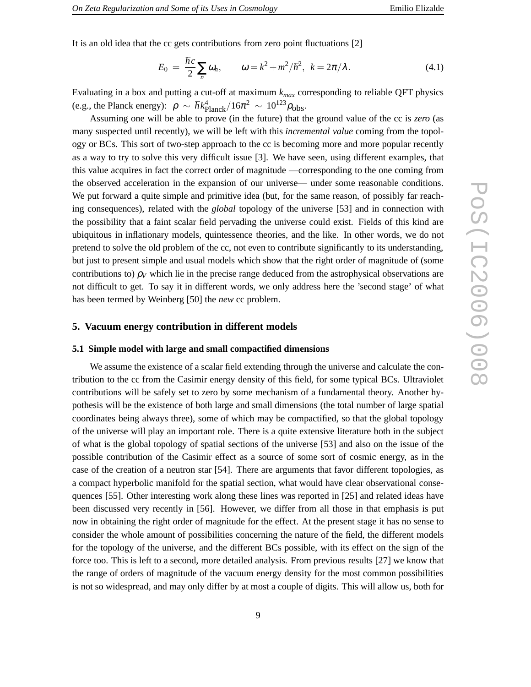It is an old idea that the cc gets contributions from zero point fluctuations [2]

$$
E_0 = \frac{\hbar c}{2} \sum_n \omega_n, \qquad \omega = k^2 + m^2/\hbar^2, \quad k = 2\pi/\lambda. \tag{4.1}
$$

Evaluating in a box and putting a cut-off at maximum *kmax* corresponding to reliable QFT physics (e.g., the Planck energy):  $\rho \sim \hbar k_{\text{Planck}}^4 / 16\pi^2 \sim 10^{123} \rho_{\text{obs}}$ .

Assuming one will be able to prove (in the future) that the ground value of the cc is *zero* (as many suspected until recently), we will be left with this *incremental value* coming from the topology or BCs. This sort of two-step approach to the cc is becoming more and more popular recently as a way to try to solve this very difficult issue [3]. We have seen, using different examples, that this value acquires in fact the correct order of magnitude —corresponding to the one coming from the observed acceleration in the expansion of our universe— under some reasonable conditions. We put forward a quite simple and primitive idea (but, for the same reason, of possibly far reaching consequences), related with the *global* topology of the universe [53] and in connection with the possibility that a faint scalar field pervading the universe could exist. Fields of this kind are ubiquitous in inflationary models, quintessence theories, and the like. In other words, we do not pretend to solve the old problem of the cc, not even to contribute significantly to its understanding, but just to present simple and usual models which show that the right order of magnitude of (some contributions to)  $\rho_V$  which lie in the precise range deduced from the astrophysical observations are not difficult to get. To say it in different words, we only address here the 'second stage' of what has been termed by Weinberg [50] the *new* cc problem.

## **5. Vacuum energy contribution in different models**

## **5.1 Simple model with large and small compactified dimensions**

We assume the existence of a scalar field extending through the universe and calculate the contribution to the cc from the Casimir energy density of this field, for some typical BCs. Ultraviolet contributions will be safely set to zero by some mechanism of a fundamental theory. Another hypothesis will be the existence of both large and small dimensions (the total number of large spatial coordinates being always three), some of which may be compactified, so that the global topology of the universe will play an important role. There is a quite extensive literature both in the subject of what is the global topology of spatial sections of the universe [53] and also on the issue of the possible contribution of the Casimir effect as a source of some sort of cosmic energy, as in the case of the creation of a neutron star [54]. There are arguments that favor different topologies, as a compact hyperbolic manifold for the spatial section, what would have clear observational consequences [55]. Other interesting work along these lines was reported in [25] and related ideas have been discussed very recently in [56]. However, we differ from all those in that emphasis is put now in obtaining the right order of magnitude for the effect. At the present stage it has no sense to consider the whole amount of possibilities concerning the nature of the field, the different models for the topology of the universe, and the different BCs possible, with its effect on the sign of the force too. This is left to a second, more detailed analysis. From previous results [27] we know that the range of orders of magnitude of the vacuum energy density for the most common possibilities is not so widespread, and may only differ by at most a couple of digits. This will allow us, both for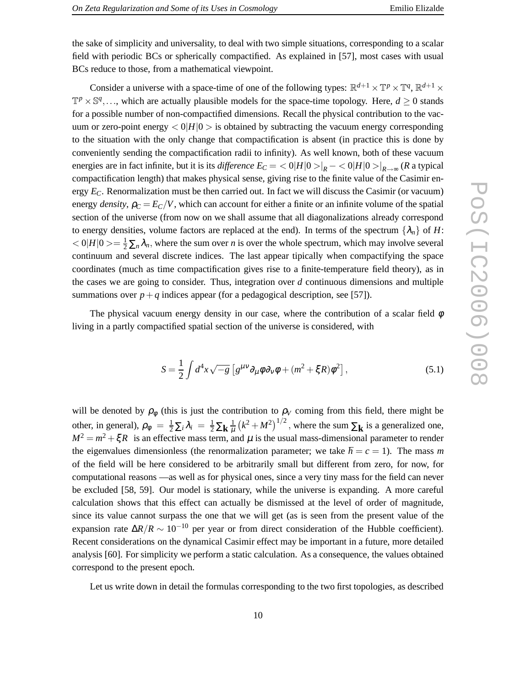the sake of simplicity and universality, to deal with two simple situations, corresponding to a scalar field with periodic BCs or spherically compactified. As explained in [57], most cases with usual BCs reduce to those, from a mathematical viewpoint.

Consider a universe with a space-time of one of the following types:  $\mathbb{R}^{d+1} \times \mathbb{T}^p \times \mathbb{T}^q$ ,  $\mathbb{R}^{d+1} \times$  $\mathbb{T}^p \times \mathbb{S}^q, \ldots$ , which are actually plausible models for the space-time topology. Here,  $d \geq 0$  stands for a possible number of non-compactified dimensions. Recall the physical contribution to the vacuum or zero-point energy  $\langle 0|H|0\rangle$  is obtained by subtracting the vacuum energy corresponding to the situation with the only change that compactification is absent (in practice this is done by conveniently sending the compactification radii to infinity). As well known, both of these vacuum energies are in fact infinite, but it is its *difference*  $E_C = \langle 0|H|0> |_{R^-} < 0|H|0> |_{R\to\infty}$  (*R* a typical compactification length) that makes physical sense, giving rise to the finite value of the Casimir energy  $E_C$ . Renormalization must be then carried out. In fact we will discuss the Casimir (or vacuum) energy *density*,  $\rho_C = E_C/V$ , which can account for either a finite or an infinite volume of the spatial section of the universe (from now on we shall assume that all diagonalizations already correspond to energy densities, volume factors are replaced at the end). In terms of the spectrum  $\{\lambda_n\}$  of *H*:  $<$  0|*H*|0 > =  $\frac{1}{2}$  $\sum_{n}$  $\lambda_n$ , where the sum over *n* is over the whole spectrum, which may involve several continuum and several discrete indices. The last appear tipically when compactifying the space coordinates (much as time compactification gives rise to a finite-temperature field theory), as in the cases we are going to consider. Thus, integration over  $d$  continuous dimensions and multiple summations over  $p+q$  indices appear (for a pedagogical description, see [57]).

The physical vacuum energy density in our case, where the contribution of a scalar field  $\phi$ living in a partly compactified spatial section of the universe is considered, with

$$
S = \frac{1}{2} \int d^4x \sqrt{-g} \left[ g^{\mu\nu} \partial_\mu \phi \partial_\nu \phi + (m^2 + \xi R) \phi^2 \right],
$$
 (5.1)

will be denoted by  $\rho_{\phi}$  (this is just the contribution to  $\rho_V$  coming from this field, there might be other, in general),  $\rho_{\phi} = \frac{1}{2} \sum_{i} \lambda_{i} = \frac{1}{2} \sum_{\mathbf{k}} \frac{1}{\mu}$  $\frac{1}{\mu} (k^2 + M^2)^{1/2}$ , where the sum  $\Sigma_{\mathbf{k}}$  is a generalized one,  $M^2 = m^2 + \xi R$  is an effective mass term, and  $\mu$  is the usual mass-dimensional parameter to render the eigenvalues dimensionless (the renormalization parameter; we take  $\hbar = c = 1$ ). The mass *m* of the field will be here considered to be arbitrarily small but different from zero, for now, for computational reasons —as well as for physical ones, since a very tiny mass for the field can never be excluded [58, 59]. Our model is stationary, while the universe is expanding. A more careful calculation shows that this effect can actually be dismissed at the level of order of magnitude, since its value cannot surpass the one that we will get (as is seen from the present value of the expansion rate  $\Delta R/R \sim 10^{-10}$  per year or from direct consideration of the Hubble coefficient). Recent considerations on the dynamical Casimir effect may be important in a future, more detailed analysis [60]. For simplicity we perform a static calculation. As a consequence, the values obtained correspond to the present epoch.

Let us write down in detail the formulas corresponding to the two first topologies, as described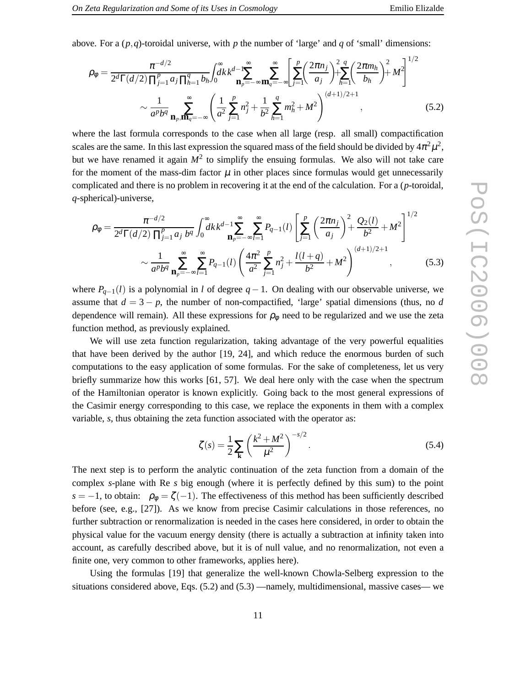above. For a  $(p,q)$ -toroidal universe, with p the number of 'large' and q of 'small' dimensions:

$$
\rho_{\phi} = \frac{\pi^{-d/2}}{2^d \Gamma(d/2) \prod_{j=1}^p a_j \prod_{h=1}^q b_h} \int_0^{\infty} dk \, k^{d-1} \sum_{n_p = -\infty}^{\infty} \sum_{j=1}^{\infty} \left[ \sum_{j=1}^p \left( \frac{2\pi n_j}{a_j} \right) + \sum_{h=1}^2 \left( \frac{2\pi m_h}{b_h} \right)^2 + M^2 \right]^{1/2}
$$

$$
\sim \frac{1}{a^p b^q} \sum_{n_p, \mathbf{m}_q = -\infty}^{\infty} \left( \frac{1}{a^2} \sum_{j=1}^p n_j^2 + \frac{1}{b^2} \sum_{h=1}^q m_h^2 + M^2 \right)^{(d+1)/2+1}, \qquad (5.2)
$$

where the last formula corresponds to the case when all large (resp. all small) compactification scales are the same. In this last expression the squared mass of the field should be divided by  $4\pi^2\mu^2$ , but we have renamed it again  $M^2$  to simplify the ensuing formulas. We also will not take care for the moment of the mass-dim factor  $\mu$  in other places since formulas would get unnecessarily complicated and there is no problem in recovering it at the end of the calculation. For a (*p*-toroidal, *q*-spherical)-universe,

$$
\rho_{\phi} = \frac{\pi^{-d/2}}{2^d \Gamma(d/2) \prod_{j=1}^p a_j b^q} \int_0^{\infty} dk \, k^{d-1} \sum_{n_p = -\infty}^{\infty} \sum_{l=1}^{\infty} P_{q-1}(l) \left[ \sum_{j=1}^p \left( \frac{2\pi n_j}{a_j} \right)^2 + \frac{Q_2(l)}{b^2} + M^2 \right]^{1/2}
$$

$$
\sim \frac{1}{a^p b^q} \sum_{n_p = -\infty}^{\infty} \sum_{l=1}^{\infty} P_{q-1}(l) \left( \frac{4\pi^2}{a^2} \sum_{j=1}^p n_j^2 + \frac{l(l+q)}{b^2} + M^2 \right)^{(d+1)/2+1}, \tag{5.3}
$$

where  $P_{q-1}(l)$  is a polynomial in *l* of degree  $q-1$ . On dealing with our observable universe, we assume that  $d = 3 - p$ , the number of non-compactified, 'large' spatial dimensions (thus, no *d*) dependence will remain). All these expressions for  $\rho_{\phi}$  need to be regularized and we use the zeta function method, as previously explained.

We will use zeta function regularization, taking advantage of the very powerful equalities that have been derived by the author [19, 24], and which reduce the enormous burden of such computations to the easy application of some formulas. For the sake of completeness, let us very briefly summarize how this works [61, 57]. We deal here only with the case when the spectrum of the Hamiltonian operator is known explicitly. Going back to the most general expressions of the Casimir energy corresponding to this case, we replace the exponents in them with a complex variable, *s*, thus obtaining the zeta function associated with the operator as:

$$
\zeta(s) = \frac{1}{2} \sum_{\mathbf{k}} \left( \frac{k^2 + M^2}{\mu^2} \right)^{-s/2}.
$$
 (5.4)

The next step is to perform the analytic continuation of the zeta function from a domain of the complex *s*-plane with Re *s* big enough (where it is perfectly defined by this sum) to the point *s* = −1, to obtain:  $\rho_{\phi} = \zeta(-1)$ . The effectiveness of this method has been sufficiently described before (see, e.g., [27]). As we know from precise Casimir calculations in those references, no further subtraction or renormalization is needed in the cases here considered, in order to obtain the physical value for the vacuum energy density (there is actually a subtraction at infinity taken into account, as carefully described above, but it is of null value, and no renormalization, not even a finite one, very common to other frameworks, applies here).

Using the formulas [19] that generalize the well-known Chowla-Selberg expression to the situations considered above, Eqs. (5.2) and (5.3) —namely, multidimensional, massive cases— we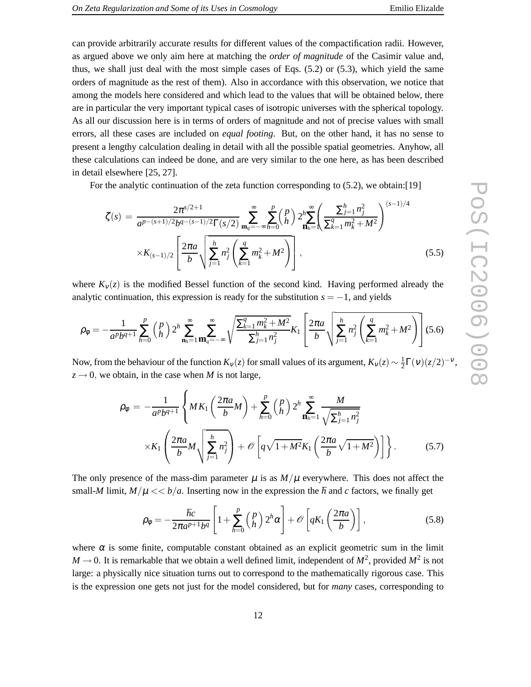can provide arbitrarily accurate results for different values of the compactification radii. However, as argued above we only aim here at matching the *order of magnitude* of the Casimir value and, thus, we shall just deal with the most simple cases of Eqs. (5.2) or (5.3), which yield the same orders of magnitude as the rest of them). Also in accordance with this observation, we notice that among the models here considered and which lead to the values that will be obtained below, there are in particular the very important typical cases of isotropic universes with the spherical topology. As all our discussion here is in terms of orders of magnitude and not of precise values with small errors, all these cases are included on *equal footing*. But, on the other hand, it has no sense to present a lengthy calculation dealing in detail with all the possible spatial geometries. Anyhow, all these calculations can indeed be done, and are very similar to the one here, as has been described in detail elsewhere [25, 27].

For the analytic continuation of the zeta function corresponding to (5.2), we obtain:[19]

$$
\zeta(s) = \frac{2\pi^{s/2+1}}{a^{p-(s+1)/2}b^{q-(s-1)/2}\Gamma(s/2)} \sum_{\mathbf{m}_q = -\infty}^{\infty} \sum_{h=0}^p {p \choose h} 2^h \sum_{\mathbf{n}_h = 1}^{\infty} \left( \frac{\sum_{j=1}^h n_j^2}{\sum_{k=1}^q m_k^2 + M^2} \right)^{(s-1)/4}
$$

$$
\times K_{(s-1)/2} \left[ \frac{2\pi a}{b} \sqrt{\sum_{j=1}^h n_j^2 \left( \sum_{k=1}^q m_k^2 + M^2 \right)} \right],
$$
(5.5)

where  $K_v(z)$  is the modified Bessel function of the second kind. Having performed already the analytic continuation, this expression is ready for the substitution  $s = -1$ , and yields

$$
\rho_{\phi} = -\frac{1}{a^p b^{q+1}} \sum_{h=0}^p {p \choose h} 2^h \sum_{\mathbf{n}_h=1}^\infty \sum_{\mathbf{m}_q=-\infty}^\infty \sqrt{\frac{\sum_{k=1}^q m_k^2 + M^2}{\sum_{j=1}^h n_j^2}} K_1 \left[ \frac{2\pi a}{b} \sqrt{\sum_{j=1}^h n_j^2} \left( \sum_{k=1}^q m_k^2 + M^2 \right) \right] (5.6)
$$

Now, from the behaviour of the function  $K_v(z)$  for small values of its argument,  $K_v(z) \sim \frac{1}{2}$  $\frac{1}{2}\Gamma(\nu)(z/2)^{-\nu},$  $z \rightarrow 0$ , we obtain, in the case when *M* is not large,

$$
\rho_{\phi} = -\frac{1}{a^p b^{q+1}} \left\{ M K_1 \left( \frac{2\pi a}{b} M \right) + \sum_{h=0}^p {p \choose h} 2^h \sum_{\mathbf{n}_h=1}^\infty \frac{M}{\sqrt{\sum_{j=1}^h n_j^2}} \right. \\ \times K_1 \left( \frac{2\pi a}{b} M \sqrt{\sum_{j=1}^h n_j^2} \right) + \mathcal{O} \left[ q \sqrt{1 + M^2} K_1 \left( \frac{2\pi a}{b} \sqrt{1 + M^2} \right) \right] \right\}.
$$
 (5.7)

The only presence of the mass-dim parameter  $\mu$  is as  $M/\mu$  everywhere. This does not affect the small-*M* limit,  $M/\mu \ll b/a$ . Inserting now in the expression the *h* and *c* factors, we finally get

$$
\rho_{\phi} = -\frac{\hbar c}{2\pi a^{p+1}b^q} \left[ 1 + \sum_{h=0}^p {p \choose h} 2^h \alpha \right] + \mathcal{O}\left[qK_1\left(\frac{2\pi a}{b}\right)\right],\tag{5.8}
$$

where  $\alpha$  is some finite, computable constant obtained as an explicit geometric sum in the limit  $M \rightarrow 0$ . It is remarkable that we obtain a well defined limit, independent of  $M^2$ , provided  $M^2$  is not large: a physically nice situation turns out to correspond to the mathematically rigorous case. This is the expression one gets not just for the model considered, but for *many* cases, corresponding to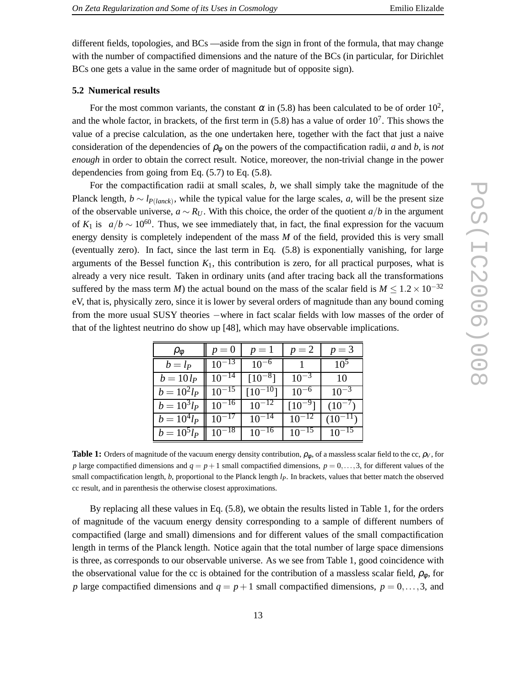different fields, topologies, and BCs —aside from the sign in front of the formula, that may change with the number of compactified dimensions and the nature of the BCs (in particular, for Dirichlet BCs one gets a value in the same order of magnitude but of opposite sign).

## **5.2 Numerical results**

For the most common variants, the constant  $\alpha$  in (5.8) has been calculated to be of order  $10^2$ , and the whole factor, in brackets, of the first term in  $(5.8)$  has a value of order  $10<sup>7</sup>$ . This shows the value of a precise calculation, as the one undertaken here, together with the fact that just a naive consideration of the dependencies of  $\rho_{\phi}$  on the powers of the compactification radii, *a* and *b*, is *not enough* in order to obtain the correct result. Notice, moreover, the non-trivial change in the power dependencies from going from Eq. (5.7) to Eq. (5.8).

For the compactification radii at small scales, *b*, we shall simply take the magnitude of the Planck length,  $b \sim l_{P(lanck)}$ , while the typical value for the large scales, *a*, will be the present size of the observable universe,  $a \sim R_U$ . With this choice, the order of the quotient  $a/b$  in the argument of  $K_1$  is  $a/b \sim 10^{60}$ . Thus, we see immediately that, in fact, the final expression for the vacuum energy density is completely independent of the mass *M* of the field, provided this is very small (eventually zero). In fact, since the last term in Eq. (5.8) is exponentially vanishing, for large arguments of the Bessel function  $K_1$ , this contribution is zero, for all practical purposes, what is already a very nice result. Taken in ordinary units (and after tracing back all the transformations suffered by the mass term *M*) the actual bound on the mass of the scalar field is  $M \leq 1.2 \times 10^{-32}$ eV, that is, physically zero, since it is lower by several orders of magnitude than any bound coming from the more usual SUSY theories –where in fact scalar fields with low masses of the order of that of the lightest neutrino do show up [48], which may have observable implications.

| $\rho_{\phi}$  | $p=0$      | $p=1$        | $p=2$       | $p = 3$                 |
|----------------|------------|--------------|-------------|-------------------------|
| $b = lp$       | $10^{-13}$ | $10^{-6}$    |             | $10^5$                  |
| $b = 10 l_P$   | $10^{-14}$ | $[10^{-8}]$  | $10^{-3}$   | 10                      |
| $b = 10^2 l_P$ | $10^{-15}$ | $[10^{-10}]$ | $10^{-6}$   | $10^{-3}$               |
| $b = 10^3 l_P$ | $10^{-16}$ | $10^{-12}$   | $[10^{-9}]$ | $(10^{-7})$             |
| $b = 10^4 l_P$ | $10^{-17}$ | $10^{-14}$   | $10^{-12}$  | $(10^{-11})$            |
| $b = 10^5 l_P$ | $10^{-18}$ | $10^{-16}$   |             | $10^{-15}$   $10^{-15}$ |

**Table 1:** Orders of magnitude of the vacuum energy density contribution,  $\rho_{\phi}$ , of a massless scalar field to the cc,  $\rho_V$ , for *p* large compactified dimensions and  $q = p + 1$  small compactified dimensions,  $p = 0, \ldots, 3$ , for different values of the small compactification length, *b*, proportional to the Planck length *lP*. In brackets, values that better match the observed cc result, and in parenthesis the otherwise closest approximations.

By replacing all these values in Eq. (5.8), we obtain the results listed in Table 1, for the orders of magnitude of the vacuum energy density corresponding to a sample of different numbers of compactified (large and small) dimensions and for different values of the small compactification length in terms of the Planck length. Notice again that the total number of large space dimensions is three, as corresponds to our observable universe. As we see from Table 1, good coincidence with the observational value for the cc is obtained for the contribution of a massless scalar field,  $\rho_{\phi}$ , for *p* large compactified dimensions and  $q = p + 1$  small compactified dimensions,  $p = 0, \ldots, 3$ , and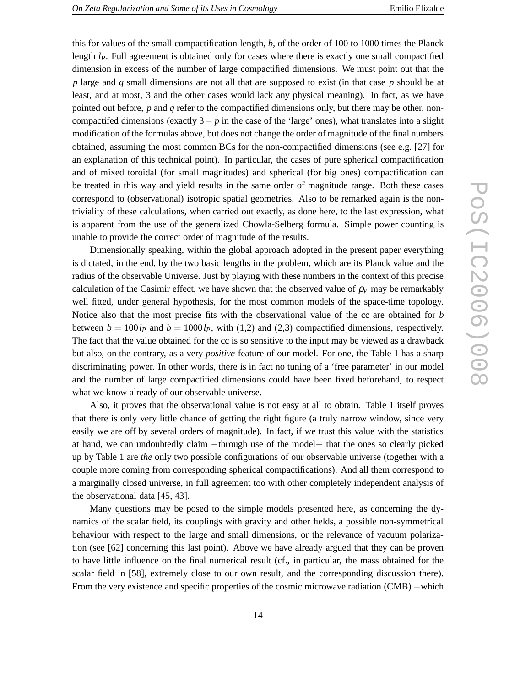this for values of the small compactification length, *b*, of the order of 100 to 1000 times the Planck length *l<sub>P</sub>*. Full agreement is obtained only for cases where there is exactly one small compactified dimension in excess of the number of large compactified dimensions. We must point out that the *p* large and *q* small dimensions are not all that are supposed to exist (in that case *p* should be at least, and at most, 3 and the other cases would lack any physical meaning). In fact, as we have pointed out before, *p* and *q* refer to the compactified dimensions only, but there may be other, noncompactifed dimensions (exactly  $3-p$  in the case of the 'large' ones), what translates into a slight modification of the formulas above, but does not change the order of magnitude of the final numbers obtained, assuming the most common BCs for the non-compactified dimensions (see e.g. [27] for an explanation of this technical point). In particular, the cases of pure spherical compactification and of mixed toroidal (for small magnitudes) and spherical (for big ones) compactification can be treated in this way and yield results in the same order of magnitude range. Both these cases correspond to (observational) isotropic spatial geometries. Also to be remarked again is the nontriviality of these calculations, when carried out exactly, as done here, to the last expression, what is apparent from the use of the generalized Chowla-Selberg formula. Simple power counting is unable to provide the correct order of magnitude of the results.

Dimensionally speaking, within the global approach adopted in the present paper everything is dictated, in the end, by the two basic lengths in the problem, which are its Planck value and the radius of the observable Universe. Just by playing with these numbers in the context of this precise calculation of the Casimir effect, we have shown that the observed value of  $\rho_V$  may be remarkably well fitted, under general hypothesis, for the most common models of the space-time topology. Notice also that the most precise fits with the observational value of the cc are obtained for *b* between  $b = 100 l_P$  and  $b = 1000 l_P$ , with (1,2) and (2,3) compactified dimensions, respectively. The fact that the value obtained for the cc is so sensitive to the input may be viewed as a drawback but also, on the contrary, as a very *positive* feature of our model. For one, the Table 1 has a sharp discriminating power. In other words, there is in fact no tuning of a 'free parameter' in our model and the number of large compactified dimensions could have been fixed beforehand, to respect what we know already of our observable universe.

Also, it proves that the observational value is not easy at all to obtain. Table 1 itself proves that there is only very little chance of getting the right figure (a truly narrow window, since very easily we are off by several orders of magnitude). In fact, if we trust this value with the statistics at hand, we can undoubtedly claim −through use of the model− that the ones so clearly picked up by Table 1 are *the* only two possible configurations of our observable universe (together with a couple more coming from corresponding spherical compactifications). And all them correspond to a marginally closed universe, in full agreement too with other completely independent analysis of the observational data [45, 43].

Many questions may be posed to the simple models presented here, as concerning the dynamics of the scalar field, its couplings with gravity and other fields, a possible non-symmetrical behaviour with respect to the large and small dimensions, or the relevance of vacuum polarization (see [62] concerning this last point). Above we have already argued that they can be proven to have little influence on the final numerical result (cf., in particular, the mass obtained for the scalar field in [58], extremely close to our own result, and the corresponding discussion there). From the very existence and specific properties of the cosmic microwave radiation (CMB) –which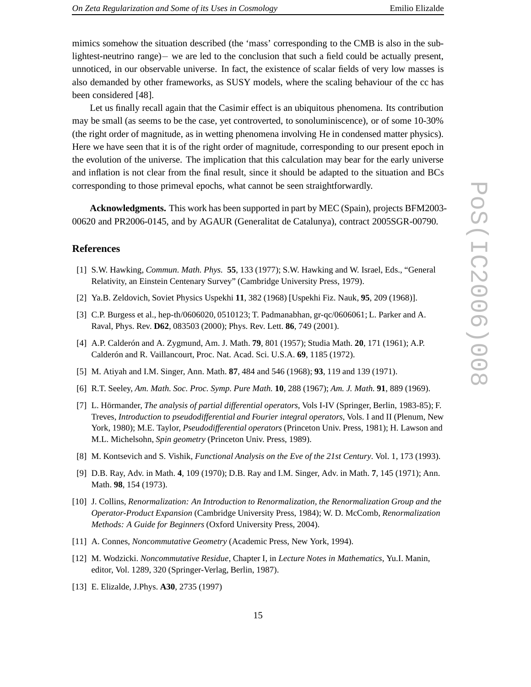mimics somehow the situation described (the 'mass' corresponding to the CMB is also in the sublightest-neutrino range)− we are led to the conclusion that such a field could be actually present, unnoticed, in our observable universe. In fact, the existence of scalar fields of very low masses is also demanded by other frameworks, as SUSY models, where the scaling behaviour of the cc has been considered [48].

Let us finally recall again that the Casimir effect is an ubiquitous phenomena. Its contribution may be small (as seems to be the case, yet controverted, to sonoluminiscence), or of some 10-30% (the right order of magnitude, as in wetting phenomena involving He in condensed matter physics). Here we have seen that it is of the right order of magnitude, corresponding to our present epoch in the evolution of the universe. The implication that this calculation may bear for the early universe and inflation is not clear from the final result, since it should be adapted to the situation and BCs corresponding to those primeval epochs, what cannot be seen straightforwardly.

**Acknowledgments.** This work has been supported in part by MEC (Spain), projects BFM2003- 00620 and PR2006-0145, and by AGAUR (Generalitat de Catalunya), contract 2005SGR-00790.

# **References**

- [1] S.W. Hawking, *Commun. Math. Phys.* **55**, 133 (1977); S.W. Hawking and W. Israel, Eds., "General Relativity, an Einstein Centenary Survey" (Cambridge University Press, 1979).
- [2] Ya.B. Zeldovich, Soviet Physics Uspekhi **11**, 382 (1968) [Uspekhi Fiz. Nauk, **95**, 209 (1968)].
- [3] C.P. Burgess et al., hep-th/0606020, 0510123; T. Padmanabhan, gr-qc/0606061; L. Parker and A. Raval, Phys. Rev. **D62**, 083503 (2000); Phys. Rev. Lett. **86**, 749 (2001).
- [4] A.P. Calderón and A. Zygmund, Am. J. Math. **79**, 801 (1957); Studia Math. **20**, 171 (1961); A.P. Calderón and R. Vaillancourt, Proc. Nat. Acad. Sci. U.S.A. **69**, 1185 (1972).
- [5] M. Atiyah and I.M. Singer, Ann. Math. **87**, 484 and 546 (1968); **93**, 119 and 139 (1971).
- [6] R.T. Seeley, *Am. Math. Soc. Proc. Symp. Pure Math.* **10**, 288 (1967); *Am. J. Math.* **91**, 889 (1969).
- [7] L. Hörmander, *The analysis of partial differential operators*, Vols I-IV (Springer, Berlin, 1983-85); F. Treves, *Introduction to pseudodifferential and Fourier integral operators*, Vols. I and II (Plenum, New York, 1980); M.E. Taylor, *Pseudodifferential operators* (Princeton Univ. Press, 1981); H. Lawson and M.L. Michelsohn, *Spin geometry* (Princeton Univ. Press, 1989).
- [8] M. Kontsevich and S. Vishik, *Functional Analysis on the Eve of the 21st Century*. Vol. 1, 173 (1993).
- [9] D.B. Ray, Adv. in Math. **4**, 109 (1970); D.B. Ray and I.M. Singer, Adv. in Math. **7**, 145 (1971); Ann. Math. **98**, 154 (1973).
- [10] J. Collins, *Renormalization: An Introduction to Renormalization, the Renormalization Group and the Operator-Product Expansion* (Cambridge University Press, 1984); W. D. McComb, *Renormalization Methods: A Guide for Beginners* (Oxford University Press, 2004).
- [11] A. Connes, *Noncommutative Geometry* (Academic Press, New York, 1994).
- [12] M. Wodzicki. *Noncommutative Residue*, Chapter I, in *Lecture Notes in Mathematics*, Yu.I. Manin, editor, Vol. 1289, 320 (Springer-Verlag, Berlin, 1987).
- [13] E. Elizalde, J.Phys. **A30**, 2735 (1997)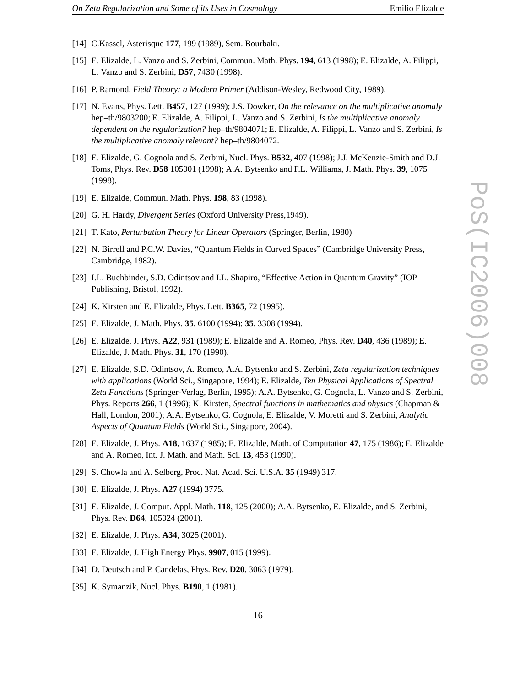- [14] C.Kassel, Asterisque **177**, 199 (1989), Sem. Bourbaki.
- [15] E. Elizalde, L. Vanzo and S. Zerbini, Commun. Math. Phys. **194**, 613 (1998); E. Elizalde, A. Filippi, L. Vanzo and S. Zerbini, **D57**, 7430 (1998).
- [16] P. Ramond, *Field Theory: a Modern Primer* (Addison-Wesley, Redwood City, 1989).
- [17] N. Evans, Phys. Lett. **B457**, 127 (1999); J.S. Dowker, *On the relevance on the multiplicative anomaly* hep–th/9803200; E. Elizalde, A. Filippi, L. Vanzo and S. Zerbini, *Is the multiplicative anomaly dependent on the regularization?* hep–th/9804071; E. Elizalde, A. Filippi, L. Vanzo and S. Zerbini, *Is the multiplicative anomaly relevant?* hep–th/9804072.
- [18] E. Elizalde, G. Cognola and S. Zerbini, Nucl. Phys. **B532**, 407 (1998); J.J. McKenzie-Smith and D.J. Toms, Phys. Rev. **D58** 105001 (1998); A.A. Bytsenko and F.L. Williams, J. Math. Phys. **39**, 1075 (1998).
- [19] E. Elizalde, Commun. Math. Phys. **198**, 83 (1998).
- [20] G. H. Hardy, *Divergent Series* (Oxford University Press,1949).
- [21] T. Kato, *Perturbation Theory for Linear Operators* (Springer, Berlin, 1980)
- [22] N. Birrell and P.C.W. Davies, "Quantum Fields in Curved Spaces" (Cambridge University Press, Cambridge, 1982).
- [23] I.L. Buchbinder, S.D. Odintsov and I.L. Shapiro, "Effective Action in Quantum Gravity" (IOP Publishing, Bristol, 1992).
- [24] K. Kirsten and E. Elizalde, Phys. Lett. **B365**, 72 (1995).
- [25] E. Elizalde, J. Math. Phys. **35**, 6100 (1994); **35**, 3308 (1994).
- [26] E. Elizalde, J. Phys. **A22**, 931 (1989); E. Elizalde and A. Romeo, Phys. Rev. **D40**, 436 (1989); E. Elizalde, J. Math. Phys. **31**, 170 (1990).
- [27] E. Elizalde, S.D. Odintsov, A. Romeo, A.A. Bytsenko and S. Zerbini, *Zeta regularization techniques with applications* (World Sci., Singapore, 1994); E. Elizalde, *Ten Physical Applications of Spectral Zeta Functions* (Springer-Verlag, Berlin, 1995); A.A. Bytsenko, G. Cognola, L. Vanzo and S. Zerbini, Phys. Reports **266**, 1 (1996); K. Kirsten, *Spectral functions in mathematics and physics* (Chapman & Hall, London, 2001); A.A. Bytsenko, G. Cognola, E. Elizalde, V. Moretti and S. Zerbini, *Analytic Aspects of Quantum Fields* (World Sci., Singapore, 2004).
- [28] E. Elizalde, J. Phys. **A18**, 1637 (1985); E. Elizalde, Math. of Computation **47**, 175 (1986); E. Elizalde and A. Romeo, Int. J. Math. and Math. Sci. **13**, 453 (1990).
- [29] S. Chowla and A. Selberg, Proc. Nat. Acad. Sci. U.S.A. **35** (1949) 317.
- [30] E. Elizalde, J. Phys. **A27** (1994) 3775.
- [31] E. Elizalde, J. Comput. Appl. Math. **118**, 125 (2000); A.A. Bytsenko, E. Elizalde, and S. Zerbini, Phys. Rev. **D64**, 105024 (2001).
- [32] E. Elizalde, J. Phys. **A34**, 3025 (2001).
- [33] E. Elizalde, J. High Energy Phys. **9907**, 015 (1999).
- [34] D. Deutsch and P. Candelas, Phys. Rev. **D20**, 3063 (1979).
- [35] K. Symanzik, Nucl. Phys. **B190**, 1 (1981).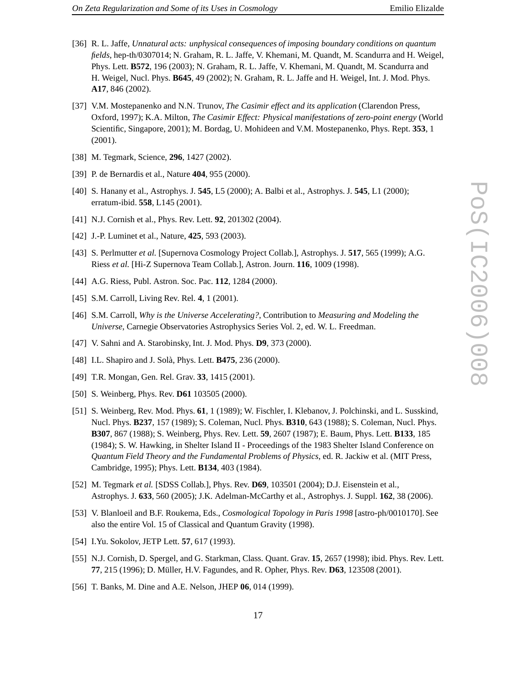- [36] R. L. Jaffe, *Unnatural acts: unphysical consequences of imposing boundary conditions on quantum fields*, hep-th/0307014; N. Graham, R. L. Jaffe, V. Khemani, M. Quandt, M. Scandurra and H. Weigel, Phys. Lett. **B572**, 196 (2003); N. Graham, R. L. Jaffe, V. Khemani, M. Quandt, M. Scandurra and H. Weigel, Nucl. Phys. **B645**, 49 (2002); N. Graham, R. L. Jaffe and H. Weigel, Int. J. Mod. Phys. **A17**, 846 (2002).
- [37] V.M. Mostepanenko and N.N. Trunov, *The Casimir effect and its application* (Clarendon Press, Oxford, 1997); K.A. Milton, *The Casimir Effect: Physical manifestations of zero-point energy* (World Scientific, Singapore, 2001); M. Bordag, U. Mohideen and V.M. Mostepanenko, Phys. Rept. **353**, 1 (2001).
- [38] M. Tegmark, Science, **296**, 1427 (2002).
- [39] P. de Bernardis et al., Nature **404**, 955 (2000).
- [40] S. Hanany et al., Astrophys. J. **545**, L5 (2000); A. Balbi et al., Astrophys. J. **545**, L1 (2000); erratum-ibid. **558**, L145 (2001).
- [41] N.J. Cornish et al., Phys. Rev. Lett. **92**, 201302 (2004).
- [42] J.-P. Luminet et al., Nature, **425**, 593 (2003).
- [43] S. Perlmutter *et al.* [Supernova Cosmology Project Collab.], Astrophys. J. **517**, 565 (1999); A.G. Riess *et al.* [Hi-Z Supernova Team Collab.], Astron. Journ. **116**, 1009 (1998).
- [44] A.G. Riess, Publ. Astron. Soc. Pac. **112**, 1284 (2000).
- [45] S.M. Carroll, Living Rev. Rel. **4**, 1 (2001).
- [46] S.M. Carroll, *Why is the Universe Accelerating?*, Contribution to *Measuring and Modeling the Universe*, Carnegie Observatories Astrophysics Series Vol. 2, ed. W. L. Freedman.
- [47] V. Sahni and A. Starobinsky, Int. J. Mod. Phys. **D9**, 373 (2000).
- [48] I.L. Shapiro and J. Solà, Phys. Lett. **B475**, 236 (2000).
- [49] T.R. Mongan, Gen. Rel. Grav. **33**, 1415 (2001).
- [50] S. Weinberg, Phys. Rev. **D61** 103505 (2000).
- [51] S. Weinberg, Rev. Mod. Phys. **61**, 1 (1989); W. Fischler, I. Klebanov, J. Polchinski, and L. Susskind, Nucl. Phys. **B237**, 157 (1989); S. Coleman, Nucl. Phys. **B310**, 643 (1988); S. Coleman, Nucl. Phys. **B307**, 867 (1988); S. Weinberg, Phys. Rev. Lett. **59**, 2607 (1987); E. Baum, Phys. Lett. **B133**, 185 (1984); S. W. Hawking, in Shelter Island II - Proceedings of the 1983 Shelter Island Conference on *Quantum Field Theory and the Fundamental Problems of Physics*, ed. R. Jackiw et al. (MIT Press, Cambridge, 1995); Phys. Lett. **B134**, 403 (1984).
- [52] M. Tegmark *et al.* [SDSS Collab.], Phys. Rev. **D69**, 103501 (2004); D.J. Eisenstein et al., Astrophys. J. **633**, 560 (2005); J.K. Adelman-McCarthy et al., Astrophys. J. Suppl. **162**, 38 (2006).
- [53] V. Blanloeil and B.F. Roukema, Eds., *Cosmological Topology in Paris 1998* [astro-ph/0010170]. See also the entire Vol. 15 of Classical and Quantum Gravity (1998).
- [54] I.Yu. Sokolov, JETP Lett. **57**, 617 (1993).
- [55] N.J. Cornish, D. Spergel, and G. Starkman, Class. Quant. Grav. **15**, 2657 (1998); ibid. Phys. Rev. Lett. **77**, 215 (1996); D. Müller, H.V. Fagundes, and R. Opher, Phys. Rev. **D63**, 123508 (2001).
- [56] T. Banks, M. Dine and A.E. Nelson, JHEP **06**, 014 (1999).